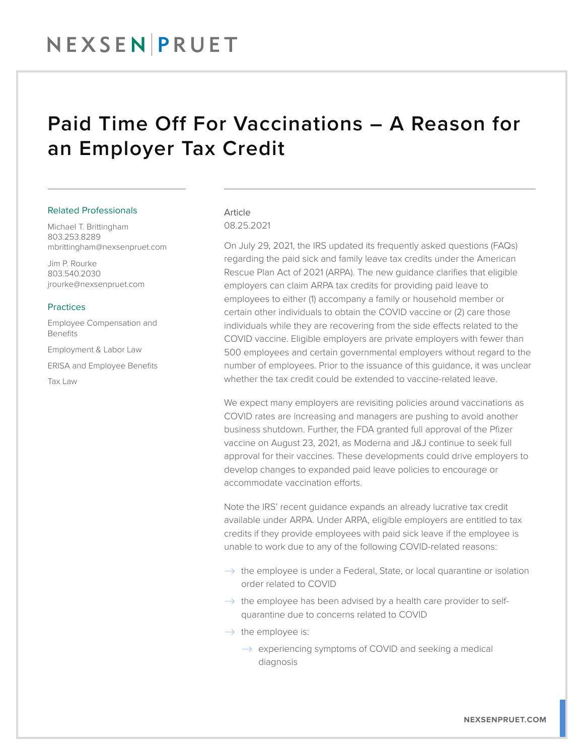## NEXSENPRUET

### Paid Time Off For Vaccinations – A Reason for an Employer Tax Credit

#### Related Professionals

Michael T. Brittingham 803.253.8289 mbrittingham@nexsenpruet.com

Jim P. Rourke 803.540.2030 jrourke@nexsenpruet.com

#### **Practices**

Employee Compensation and Benefits

Employment & Labor Law

ERISA and Employee Benefits

Tax Law

#### Article 08.25.2021

On July 29, 2021, the IRS updated its frequently asked questions (FAQs) regarding the paid sick and family leave tax credits under the American Rescue Plan Act of 2021 (ARPA). The new guidance clarifies that eligible employers can claim ARPA tax credits for providing paid leave to employees to either (1) accompany a family or household member or certain other individuals to obtain the COVID vaccine or (2) care those individuals while they are recovering from the side effects related to the COVID vaccine. Eligible employers are private employers with fewer than 500 employees and certain governmental employers without regard to the number of employees. Prior to the issuance of this guidance, it was unclear whether the tax credit could be extended to vaccine-related leave.

We expect many employers are revisiting policies around vaccinations as COVID rates are increasing and managers are pushing to avoid another business shutdown. Further, the FDA granted full approval of the Pfizer vaccine on August 23, 2021, as Moderna and J&J continue to seek full approval for their vaccines. These developments could drive employers to develop changes to expanded paid leave policies to encourage or accommodate vaccination efforts.

Note the IRS' recent guidance expands an already lucrative tax credit available under ARPA. Under ARPA, eligible employers are entitled to tax credits if they provide employees with paid sick leave if the employee is unable to work due to any of the following COVID-related reasons:

- $\rightarrow$  the employee is under a Federal, State, or local quarantine or isolation order related to COVID
- $\rightarrow$  the employee has been advised by a health care provider to selfquarantine due to concerns related to COVID
- $\rightarrow$  the employee is:
	- $\rightarrow$  experiencing symptoms of COVID and seeking a medical diagnosis